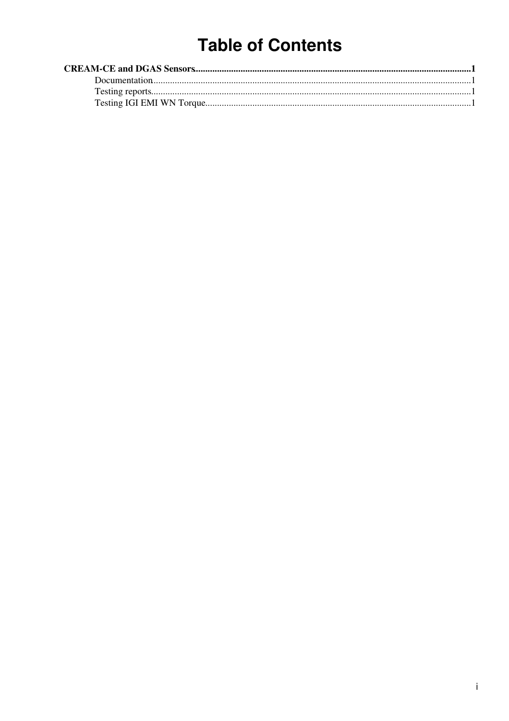# **Table of Contents**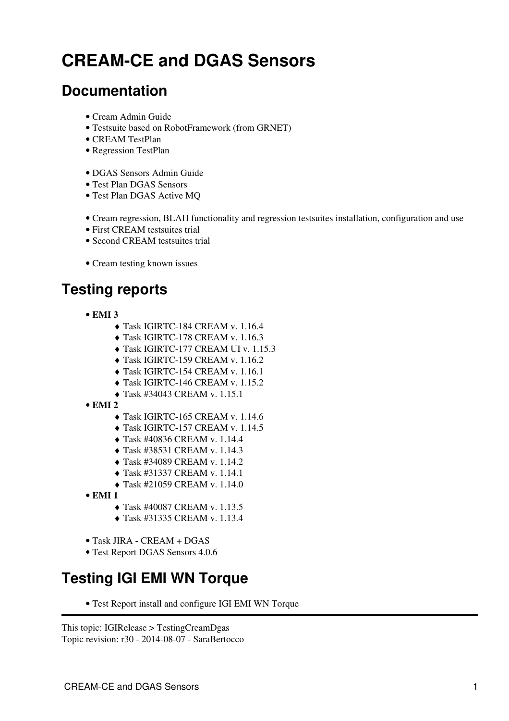# <span id="page-1-0"></span>**CREAM-CE and DGAS Sensors**

#### <span id="page-1-1"></span>**Documentation**

- [Cream Admin Guide](http://wiki.italiangrid.it/twiki/bin/view/CREAM/SystemAdministratorGuideForEMI1)
- [Testsuite based on RobotFramework \(from GRNET\)](https://wiki.italiangrid.it/twiki/bin/view/CREAM/CreamTestSuiteHowTo)
- [CREAM TestPlan](https://wiki.italiangrid.it/twiki/bin/view/CREAM/CreamTestWorkPlan)
- [Regression TestPlan](https://wiki.italiangrid.it/twiki/bin/view/CREAM/RegressionTestWorkPlan)
- [DGAS Sensors Admin Guide](http://www.to.infn.it/grid/INFNGRID/TESTING/TESTING/files/Documentation/DGAS-4.0-guide_sensors_1.2.pdf)
- [Test Plan DGAS Sensors](https://savannah.cern.ch/task/download.php?file_id=18197)
- [Test Plan DGAS Active MQ](http://wiki.italiangrid.it/twiki/pub/DGAS/TestAMQ/DGAS-AMQ-testplan.rtf)
- [Cream regression, BLAH functionality and regression testsuites installation, configuration and use](https://wiki-igi.cnaf.infn.it/twiki/bin/view/IGIRelease/Cream_blah_testsuites)
- [First CREAM testsuites trial](https://wiki-igi.cnaf.infn.it/twiki/bin/view/IGIRelease/FirstSreamTestsuitesTrial)
- [Second CREAM testsuites trial](https://wiki-igi.cnaf.infn.it/twiki/bin/view/IGIRelease/SecondCreamTestsuitesTrial)
- [Cream testing known issues](https://wiki-igi.cnaf.infn.it/twiki/bin/view/IGIRelease/CreamTestingKnownIssues)

## <span id="page-1-2"></span>**Testing reports**

- **EMI 3**
	- ♦ [Task IGIRTC-184 CREAM v. 1.16.4](https://wiki-igi.cnaf.infn.it/twiki/bin/view/IGIRelease/EMI3CREAMTaskJiraIGIRTC-184)
	- ♦ [Task IGIRTC-178 CREAM v. 1.16.3](https://wiki-igi.cnaf.infn.it/twiki/bin/view/IGIRelease/EMI3CREAMTaskJiraIGIRTC-178)
	- ♦ [Task IGIRTC-177 CREAM UI v. 1.15.3](https://wiki-igi.cnaf.infn.it/twiki/bin/view/IGIRelease/EMI3CREAMTaskJiraIGIRTC-177)
	- ♦ [Task IGIRTC-159 CREAM v. 1.16.2](https://wiki-igi.cnaf.infn.it/twiki/bin/view/IGIRelease/EMI3CREAMTaskJiraIGIRTC-159)
	- ♦ [Task IGIRTC-154 CREAM v. 1.16.1](https://wiki-igi.cnaf.infn.it/twiki/bin/view/IGIRelease/EMI3CREAMTaskJiraIGIRTC-154)
	- ♦ [Task IGIRTC-146 CREAM v. 1.15.2](https://wiki-igi.cnaf.infn.it/twiki/bin/view/IGIRelease/EMI2CREAMTaskJiraIGIRTC-146)
	- ♦ [Task #34043 CREAM v. 1.15.1](https://wiki-igi.cnaf.infn.it/twiki/bin/view/IGIRelease/EMI2CREAMTask34043)
- **EMI 2**
	- ♦ [Task IGIRTC-165 CREAM v. 1.14.6](https://wiki-igi.cnaf.infn.it/twiki/bin/view/IGIRelease/EMI2CREAMTaskJiraIGIRTC-165)
	- ♦ [Task IGIRTC-157 CREAM v. 1.14.5](https://wiki-igi.cnaf.infn.it/twiki/bin/view/IGIRelease/EMI2CREAMTaskJiraIGIRTC-157)
	- ♦ [Task #40836 CREAM v. 1.14.4](https://wiki-igi.cnaf.infn.it/twiki/bin/view/IGIRelease/EMI2CREAMTask40836)
	- ♦ [Task #38531 CREAM v. 1.14.3](https://wiki-igi.cnaf.infn.it/twiki/bin/view/IGIRelease/EMI2CREAMTask38531)
	- ♦ [Task #34089 CREAM v. 1.14.2](https://wiki-igi.cnaf.infn.it/twiki/bin/view/IGIRelease/EMI2CREAMTask34089)
	- ♦ [Task #31337 CREAM v. 1.14.1](https://wiki-igi.cnaf.infn.it/twiki/bin/view/IGIRelease/EMI2CREAMTask31337)
	- ♦ [Task #21059 CREAM v. 1.14.0](https://wiki-igi.cnaf.infn.it/twiki/bin/view/IGIRelease/EMI2CREAMTask21059)
- **EMI 1**
	- ♦ [Task #40087 CREAM v. 1.13.5](https://wiki-igi.cnaf.infn.it/twiki/bin/view/IGIRelease/EMI1CREAMTask40087)
	- ♦ [Task #31335 CREAM v. 1.13.4](https://wiki-igi.cnaf.infn.it/twiki/bin/view/IGIRelease/EMI1CREAMTask31335)
- [Task JIRA CREAM + DGAS](http://issues.cnaf.infn.it/browse/IGIRTC-15)
- [Test Report DGAS Sensors 4.0.6](https://wiki-igi.cnaf.infn.it/twiki/bin/view/IGIRelease/TestDGASSensors)

## <span id="page-1-3"></span>**Testing IGI EMI WN Torque**

• [Test Report install and configure IGI EMI WN Torque](https://wiki-igi.cnaf.infn.it/twiki/bin/view/IGIRelease/TestIgiEmiWnTorque)

```
This topic: IGIRelease > TestingCreamDgas
Topic revision: r30 - 2014-08-07 - SaraBertocco
```